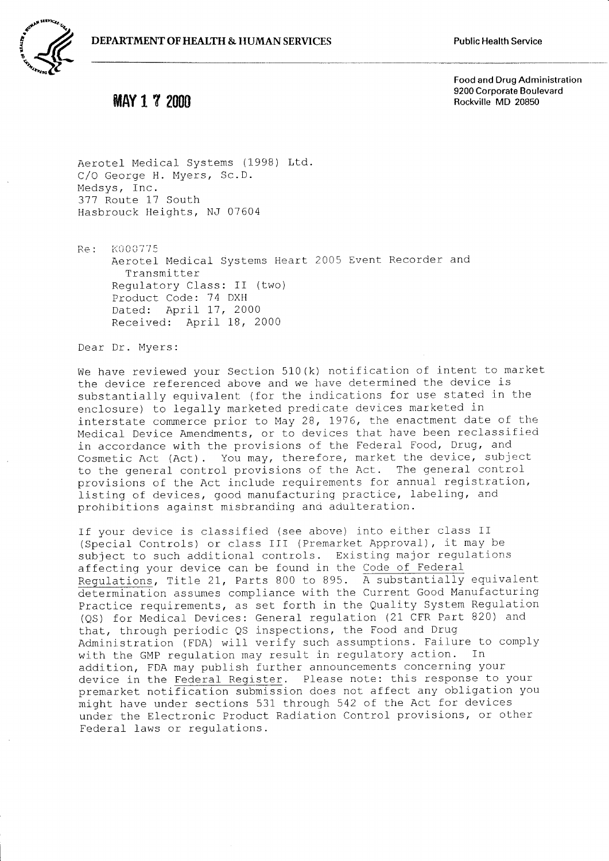



## **MAY 1 7 2000**

Food and Drug Administration 9200 Corporate Boulevard Rockville MD 20850

Aerotel Medical Systems (1998) Ltd. C/O George H. Myers, Sc.D. Medsys, Inc. 377 Route 17 South Hasbrouck Heights, NJ 07604

K000775 Re: Aerotel Medical Systems Heart 2005 Event Recorder and Transmitter Regulatory Class: II (two) Product Code: 74 DXH Dated: April 17, 2000 Received: April 18, 2000

Dear Dr. Myers:

We have reviewed your Section 510(k) notification of intent to market the device referenced above and we have determined the device is substantially equivalent (for the indications for use stated in the enclosure) to legally marketed predicate devices marketed in interstate commerce prior to May 28, 1976, the enactment date of the Medical Device Amendments, or to devices that have been reclassified in accordance with the provisions of the Federal Food, Drug, and Cosmetic Act (Act). You may, therefore, market the device, subject to the general control provisions of the Act. The general control provisions of the Act include requirements for annual registration, listing of devices, good manufacturing practice, labeling, and prohibitions against misbranding and adulteration.

If your device is classified (see above) into either class II (Special Controls) or class III (Premarket Approval), it may be subject to such additional controls. Existing major regulations affecting your device can be found in the Code of Federal Regulations, Title 21, Parts 800 to 895. A substantially equivalent determination assumes compliance with the Current Good Manufacturing Practice requirements, as set forth in the Quality System Regulation (QS) for Medical Devices: General regulation (21 CFR Part 820) and that, through periodic QS inspections, the Food and Drug Administration (FDA) will verify such assumptions. Failure to comply with the GMP regulation may result in regulatory action. In addition, FDA may publish further announcements concerning your device in the Federal Register. Please note: this response to your premarket notification submission does not affect any obligation you might have under sections 531 through 542 of the Act for devices under the Electronic Product Radiation Control provisions, or other Federal laws or regulations.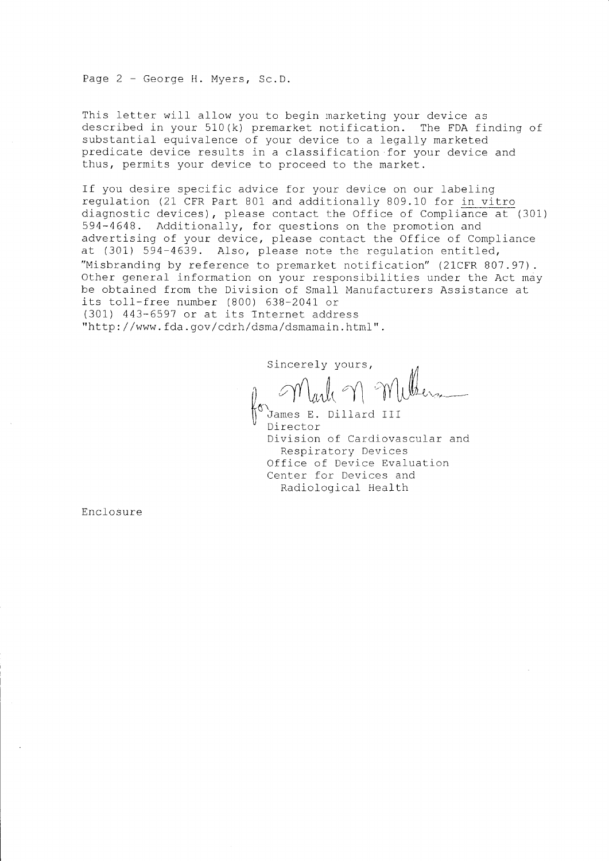Page 2 - George H. Myers, Sc.D.

This letter will allow you to begin marketing your device as described in your 510(k) premarket notification. The FDA finding of substantial equivalence of your device to a legally marketed predicate device results in a classification for your device and thus, permits your device to proceed to the market.

If you desire specific advice for your device on our labeling regulation (21 CFR Part 801 and additionally 809.10 for in vitro diagnostic devices), please contact the Office of Compliance at (301) 594-4648. Additionally, for questions on the promotion and advertising of your device, please contact the Office of Compliance at (301) 594-4639. Also, please note the regulation entitled, "Misbranding by reference to premarket notification" (21CFR 807.97). Other general information on your responsibilities under the Act may be obtained from the Division of Small Manufacturers Assistance at its toll-free number (800) 638-2041 or (301) 443-6597 or at its Internet address "http://www.fda.gov/cdrh/dsma/dsmamain.html".

Sincerely yours,

James E. Dillard III Director Division of Cardiovascular and Respiratory Devices Office of Device Evaluation Center for Devices and Radiological Health

Enclosure